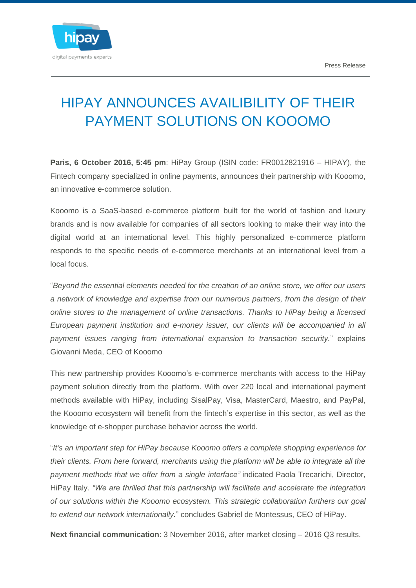

## HIPAY ANNOUNCES AVAILIBILITY OF THEIR PAYMENT SOLUTIONS ON KOOOMO

**Paris, 6 October 2016, 5:45 pm**: HiPay Group (ISIN code: FR0012821916 – HIPAY), the Fintech company specialized in online payments, announces their partnership with Kooomo, an innovative e-commerce solution.

Kooomo is a SaaS-based e-commerce platform built for the world of fashion and luxury brands and is now available for companies of all sectors looking to make their way into the digital world at an international level. This highly personalized e-commerce platform responds to the specific needs of e-commerce merchants at an international level from a local focus.

"*Beyond the essential elements needed for the creation of an online store, we offer our users a network of knowledge and expertise from our numerous partners, from the design of their online stores to the management of online transactions. Thanks to HiPay being a licensed European payment institution and e-money issuer, our clients will be accompanied in all payment issues ranging from international expansion to transaction security.*" explains Giovanni Meda, CEO of Kooomo

This new partnership provides Kooomo's e-commerce merchants with access to the HiPay payment solution directly from the platform. With over 220 local and international payment methods available with HiPay, including SisalPay, Visa, MasterCard, Maestro, and PayPal, the Kooomo ecosystem will benefit from the fintech's expertise in this sector, as well as the knowledge of e-shopper purchase behavior across the world.

"*It's an important step for HiPay because Kooomo offers a complete shopping experience for their clients. From here forward, merchants using the platform will be able to integrate all the payment methods that we offer from a single interface"* indicated Paola Trecarichi, Director, HiPay Italy. *"We are thrilled that this partnership will facilitate and accelerate the integration of our solutions within the Kooomo ecosystem. This strategic collaboration furthers our goal to extend our network internationally.*" concludes Gabriel de Montessus, CEO of HiPay.

**Next financial communication**: 3 November 2016, after market closing – 2016 Q3 results.